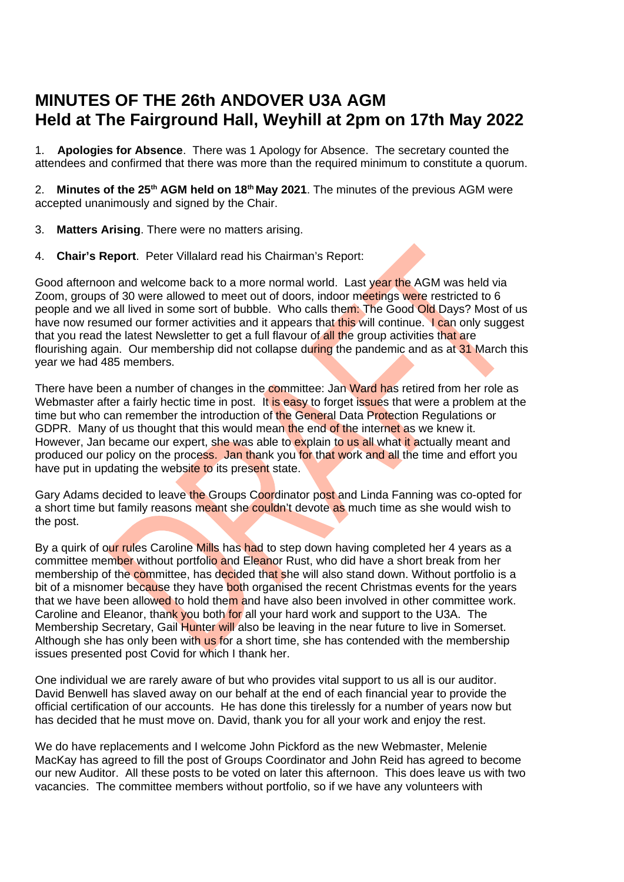# **MINUTES OF THE 26th ANDOVER U3A AGM Held at The Fairground Hall, Weyhill at 2pm on 17th May 2022**

1. **Apologies for Absence**. There was 1 Apology for Absence. The secretary counted the attendees and confirmed that there was more than the required minimum to constitute a quorum.

2. **Minutes of the 25th AGM held on 18th May 2021**. The minutes of the previous AGM were accepted unanimously and signed by the Chair.

- 3. **Matters Arising**. There were no matters arising.
- 4. **Chair's Report**. Peter Villalard read his Chairman's Report:

Good afternoon and welcome back to a more normal world. Last year the AGM was held via Zoom, groups of 30 were allowed to meet out of doors, indoor meetings were restricted to 6 people and we all lived in some sort of bubble. Who calls them: The Good Old Days? Most of us have now resumed our former activities and it appears that this will continue. I can only suggest that you read the latest Newsletter to get a full flavour of all the group activities that are flourishing again. Our membership did not collapse during the pandemic and as at 31 March this year we had 485 members.

There have been a number of changes in the committee: Jan Ward has retired from her role as Webmaster after a fairly hectic time in post. It is easy to forget issues that were a problem at the time but who can remember the introduction of the General Data Protection Regulations or GDPR. Many of us thought that this would mean the end of the internet as we knew it. However, Jan became our expert, she was able to explain to us all what it actually meant and produced our policy on the process. Jan thank you for that work and all the time and effort you have put in updating the website to its present state.

Gary Adams decided to leave the Groups Coordinator post and Linda Fanning was co-opted for a short time but family reasons meant she couldn't devote as much time as she would wish to the post.

By a quirk of our rules Caroline Mills has had to step down having completed her 4 years as a committee member without portfolio and Eleanor Rust, who did have a short break from her membership of the committee, has decided that she will also stand down. Without portfolio is a bit of a misnomer because they have both organised the recent Christmas events for the years that we have been allowed to hold them and have also been involved in other committee work. Caroline and Eleanor, thank you both for all your hard work and support to the U3A. The Membership Secretary, Gail Hunter will also be leaving in the near future to live in Somerset. Although she has only been with us for a short time, she has contended with the membership issues presented post Covid for which I thank her.

One individual we are rarely aware of but who provides vital support to us all is our auditor. David Benwell has slaved away on our behalf at the end of each financial year to provide the official certification of our accounts. He has done this tirelessly for a number of years now but has decided that he must move on. David, thank you for all your work and enjoy the rest.

We do have replacements and I welcome John Pickford as the new Webmaster, Melenie MacKay has agreed to fill the post of Groups Coordinator and John Reid has agreed to become our new Auditor. All these posts to be voted on later this afternoon. This does leave us with two vacancies. The committee members without portfolio, so if we have any volunteers with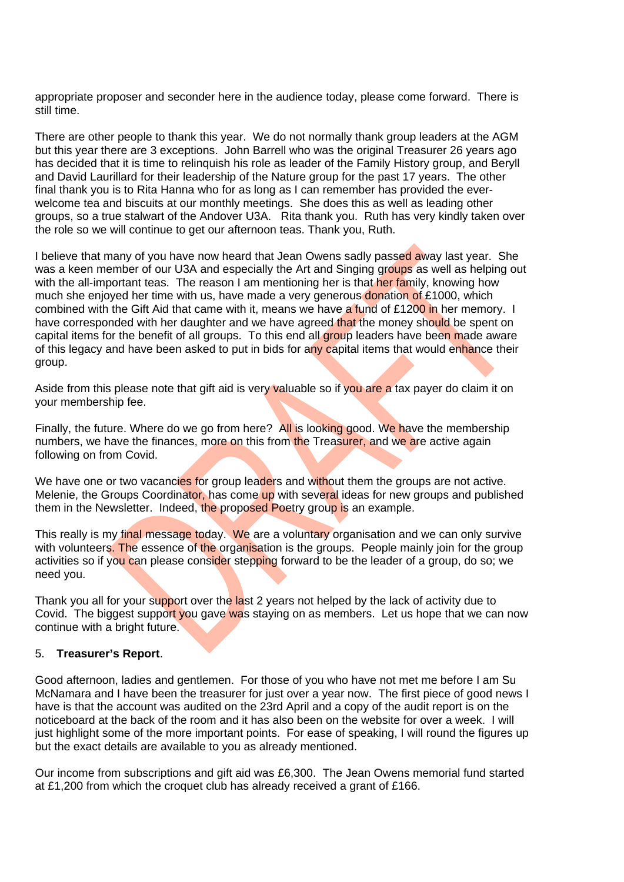appropriate proposer and seconder here in the audience today, please come forward. There is still time.

There are other people to thank this year. We do not normally thank group leaders at the AGM but this year there are 3 exceptions. John Barrell who was the original Treasurer 26 years ago has decided that it is time to relinquish his role as leader of the Family History group, and Beryll and David Laurillard for their leadership of the Nature group for the past 17 years. The other final thank you is to Rita Hanna who for as long as I can remember has provided the everwelcome tea and biscuits at our monthly meetings. She does this as well as leading other groups, so a true stalwart of the Andover U3A. Rita thank you. Ruth has very kindly taken over the role so we will continue to get our afternoon teas. Thank you, Ruth.

I believe that many of you have now heard that Jean Owens sadly passed away last year. She was a keen member of our U3A and especially the Art and Singing groups as well as helping out with the all-important teas. The reason I am mentioning her is that her family, knowing how much she enjoyed her time with us, have made a very generous donation of £1000, which combined with the Gift Aid that came with it, means we have a fund of  $\text{\pounds}1200$  in her memory. I have corresponded with her daughter and we have agreed that the money should be spent on capital items for the benefit of all groups. To this end all group leaders have been made aware of this legacy and have been asked to put in bids for any capital items that would enhance their group.

Aside from this please note that gift aid is very valuable so if you are a tax payer do claim it on your membership fee.

Finally, the future. Where do we go from here? All is looking good. We have the membership numbers, we have the finances, more on this from the Treasurer, and we are active again following on from Covid.

We have one or two vacancies for group leaders and without them the groups are not active. Melenie, the Groups Coordinator, has come up with several ideas for new groups and published them in the Newsletter. Indeed, the proposed Poetry group is an example.

This really is my final message today. We are a voluntary organisation and we can only survive with volunteers. The essence of the organisation is the groups. People mainly join for the group activities so if you can please consider stepping forward to be the leader of a group, do so; we need you.

Thank you all for your support over the last 2 years not helped by the lack of activity due to Covid. The biggest support you gave was staying on as members. Let us hope that we can now continue with a bright future.

#### 5. **Treasurer's Report**.

Good afternoon, ladies and gentlemen. For those of you who have not met me before I am Su McNamara and I have been the treasurer for just over a year now. The first piece of good news I have is that the account was audited on the 23rd April and a copy of the audit report is on the noticeboard at the back of the room and it has also been on the website for over a week. I will just highlight some of the more important points. For ease of speaking, I will round the figures up but the exact details are available to you as already mentioned.

Our income from subscriptions and gift aid was £6,300. The Jean Owens memorial fund started at £1,200 from which the croquet club has already received a grant of £166.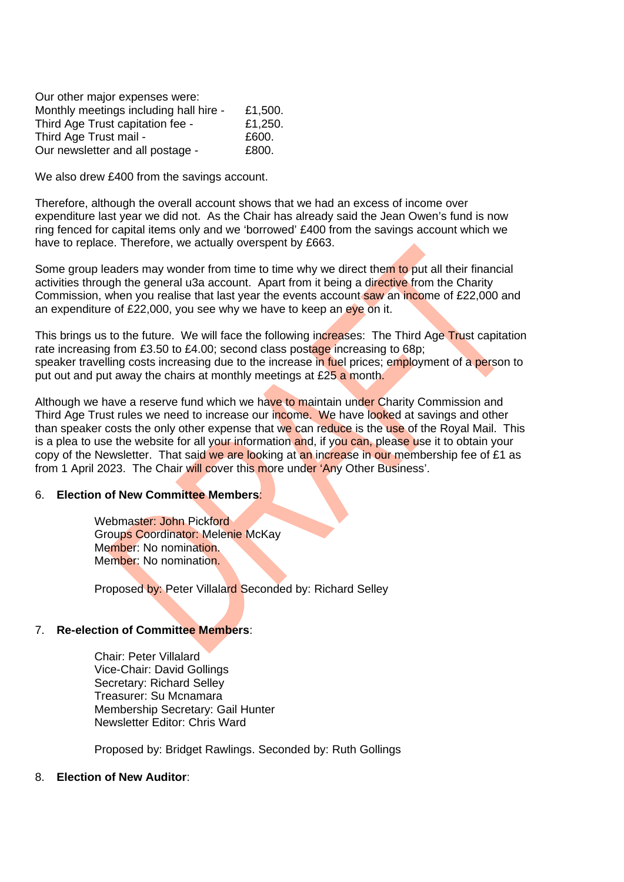| Our other major expenses were:         |         |
|----------------------------------------|---------|
| Monthly meetings including hall hire - | £1,500. |
| Third Age Trust capitation fee -       | £1,250. |
| Third Age Trust mail -                 | £600.   |
| Our newsletter and all postage -       | £800.   |

We also drew £400 from the savings account.

Therefore, although the overall account shows that we had an excess of income over expenditure last year we did not. As the Chair has already said the Jean Owen's fund is now ring fenced for capital items only and we 'borrowed' £400 from the savings account which we have to replace. Therefore, we actually overspent by £663.

Some group leaders may wonder from time to time why we direct them to put all their financial activities through the general u3a account. Apart from it being a directive from the Charity Commission, when you realise that last year the events account saw an income of £22,000 and an expenditure of £22,000, you see why we have to keep an eye on it.

This brings us to the future. We will face the following increases: The Third Age Trust capitation rate increasing from £3.50 to £4.00; second class postage increasing to 68p; speaker travelling costs increasing due to the increase in fuel prices; employment of a person to put out and put away the chairs at monthly meetings at £25 a month.

Although we have a reserve fund which we have to maintain under Charity Commission and Third Age Trust rules we need to increase our income. We have looked at savings and other than speaker costs the only other expense that we can reduce is the use of the Royal Mail. This is a plea to use the website for all your information and, if you can, please use it to obtain your copy of the Newsletter. That said we are looking at an increase in our membership fee of  $E1$  as from 1 April 2023. The Chair will cover this more under 'Any Other Business'.

## 6. **Election of New Committee Members**:

Webmaster: John Pickford Groups Coordinator: Melenie McKay Member: No nomination. Member: No nomination.

Proposed by: Peter Villalard Seconded by: Richard Selley

## 7. **Re-election of Committee Members**:

Chair: Peter Villalard Vice-Chair: David Gollings Secretary: Richard Selley Treasurer: Su Mcnamara Membership Secretary: Gail Hunter Newsletter Editor: Chris Ward

Proposed by: Bridget Rawlings. Seconded by: Ruth Gollings

#### 8. **Election of New Auditor**: